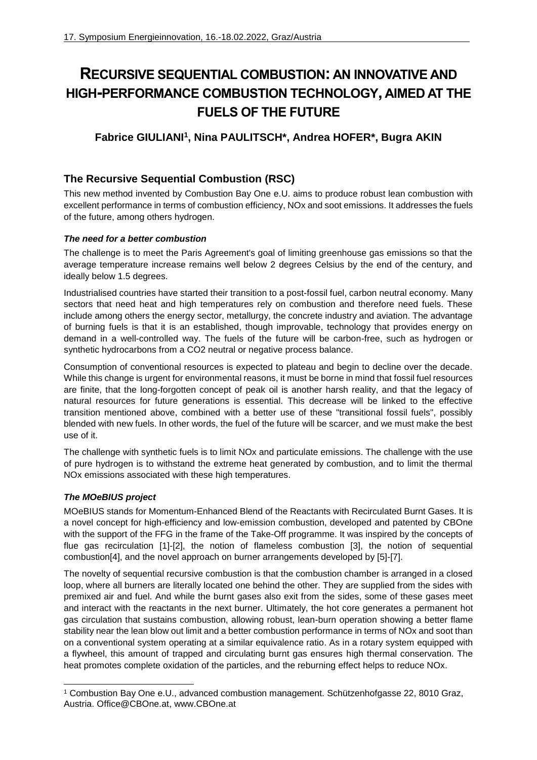# **RECURSIVE SEQUENTIAL COMBUSTION: AN INNOVATIVE AND HIGH-PERFORMANCE COMBUSTION TECHNOLOGY, AIMED AT THE FUELS OF THE FUTURE**

## **Fabrice GIULIANI<sup>1</sup> , Nina PAULITSCH\*, Andrea HOFER\*, Bugra AKIN**

## **The Recursive Sequential Combustion (RSC)**

This new method invented by Combustion Bay One e.U. aims to produce robust lean combustion with excellent performance in terms of combustion efficiency, NOx and soot emissions. It addresses the fuels of the future, among others hydrogen.

### *The need for a better combustion*

The challenge is to meet the Paris Agreement's goal of limiting greenhouse gas emissions so that the average temperature increase remains well below 2 degrees Celsius by the end of the century, and ideally below 1.5 degrees.

Industrialised countries have started their transition to a post-fossil fuel, carbon neutral economy. Many sectors that need heat and high temperatures rely on combustion and therefore need fuels. These include among others the energy sector, metallurgy, the concrete industry and aviation. The advantage of burning fuels is that it is an established, though improvable, technology that provides energy on demand in a well-controlled way. The fuels of the future will be carbon-free, such as hydrogen or synthetic hydrocarbons from a CO2 neutral or negative process balance.

Consumption of conventional resources is expected to plateau and begin to decline over the decade. While this change is urgent for environmental reasons, it must be borne in mind that fossil fuel resources are finite, that the long-forgotten concept of peak oil is another harsh reality, and that the legacy of natural resources for future generations is essential. This decrease will be linked to the effective transition mentioned above, combined with a better use of these "transitional fossil fuels", possibly blended with new fuels. In other words, the fuel of the future will be scarcer, and we must make the best use of it.

The challenge with synthetic fuels is to limit NOx and particulate emissions. The challenge with the use of pure hydrogen is to withstand the extreme heat generated by combustion, and to limit the thermal NOx emissions associated with these high temperatures.

### *The MOeBIUS project*

1

MOeBIUS stands for Momentum-Enhanced Blend of the Reactants with Recirculated Burnt Gases. It is a novel concept for high-efficiency and low-emission combustion, developed and patented by CBOne with the support of the FFG in the frame of the Take-Off programme. It was inspired by the concepts of flue gas recirculation [\[1\]-](#page-1-0)[\[2\],](#page-1-1) the notion of flameless combustion [\[3\],](#page-1-2) the notion of sequential combustio[n\[4\],](#page-1-3) and the novel approach on burner arrangements developed by [\[5\]](#page-1-4)[-\[7\].](#page-1-5)

The novelty of sequential recursive combustion is that the combustion chamber is arranged in a closed loop, where all burners are literally located one behind the other. They are supplied from the sides with premixed air and fuel. And while the burnt gases also exit from the sides, some of these gases meet and interact with the reactants in the next burner. Ultimately, the hot core generates a permanent hot gas circulation that sustains combustion, allowing robust, lean-burn operation showing a better flame stability near the lean blow out limit and a better combustion performance in terms of NOx and soot than on a conventional system operating at a similar equivalence ratio. As in a rotary system equipped with a flywheel, this amount of trapped and circulating burnt gas ensures high thermal conservation. The heat promotes complete oxidation of the particles, and the reburning effect helps to reduce NOx.

<sup>1</sup> Combustion Bay One e.U., advanced combustion management. Schützenhofgasse 22, 8010 Graz, Austria. [Office@CBOne.at,](mailto:Office@CBOne.at) [www.CBOne.at](http://www.cbone.at/)